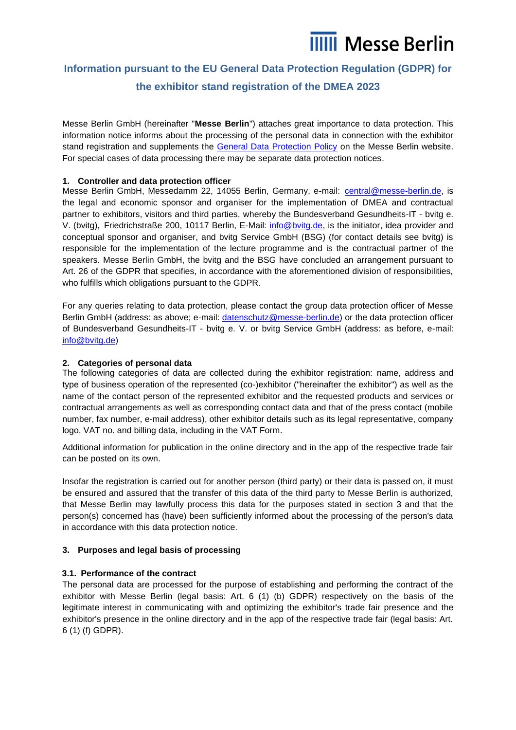# **IIIII** Messe Berlin

# **Information pursuant to the EU General Data Protection Regulation (GDPR) for the exhibitor stand registration of the DMEA 2023**

Messe Berlin GmbH (hereinafter "**Messe Berlin**") attaches great importance to data protection. This information notice informs about the processing of the personal data in connection with the exhibitor stand registration and supplements the [General Data Protection Policy](https://www.messe-berlin.de/en/extra-pages/data-protection/) on the Messe Berlin website. For special cases of data processing there may be separate data protection notices.

# **1. Controller and data protection officer**

Messe Berlin GmbH, Messedamm 22, 14055 Berlin, Germany, e-mail: [central@messe-berlin.de,](mailto:central@messe-berlin.de) is the legal and economic sponsor and organiser for the implementation of DMEA and contractual partner to exhibitors, visitors and third parties, whereby the Bundesverband Gesundheits-IT - bvitg e. V. (bvitg), Friedrichstraße 200, 10117 Berlin, E-Mail: [info@bvitg.de,](mailto:info@bvitg.de) is the initiator, idea provider and conceptual sponsor and organiser, and bvitg Service GmbH (BSG) (for contact details see bvitg) is responsible for the implementation of the lecture programme and is the contractual partner of the speakers. Messe Berlin GmbH, the bvitg and the BSG have concluded an arrangement pursuant to Art. 26 of the GDPR that specifies, in accordance with the aforementioned division of responsibilities, who fulfills which obligations pursuant to the GDPR.

For any queries relating to data protection, please contact the group data protection officer of Messe Berlin GmbH (address: as above; e-mail: [datenschutz@messe-berlin.de\)](mailto:datenschutz@messe-berlin.de) or the data protection officer of Bundesverband Gesundheits-IT - bvitg e. V. or bvitg Service GmbH (address: as before, e-mail: [info@bvitg.de\)](mailto:info@bvitg.de)

# **2. Categories of personal data**

The following categories of data are collected during the exhibitor registration: name, address and type of business operation of the represented (co-)exhibitor ("hereinafter the exhibitor") as well as the name of the contact person of the represented exhibitor and the requested products and services or contractual arrangements as well as corresponding contact data and that of the press contact (mobile number, fax number, e-mail address), other exhibitor details such as its legal representative, company logo, VAT no. and billing data, including in the VAT Form.

Additional information for publication in the online directory and in the app of the respective trade fair can be posted on its own.

Insofar the registration is carried out for another person (third party) or their data is passed on, it must be ensured and assured that the transfer of this data of the third party to Messe Berlin is authorized, that Messe Berlin may lawfully process this data for the purposes stated in section 3 and that the person(s) concerned has (have) been sufficiently informed about the processing of the person's data in accordance with this data protection notice.

# **3. Purposes and legal basis of processing**

# **3.1. Performance of the contract**

The personal data are processed for the purpose of establishing and performing the contract of the exhibitor with Messe Berlin (legal basis: Art. 6 (1) (b) GDPR) respectively on the basis of the legitimate interest in communicating with and optimizing the exhibitor's trade fair presence and the exhibitor's presence in the online directory and in the app of the respective trade fair (legal basis: Art. 6 (1) (f) GDPR).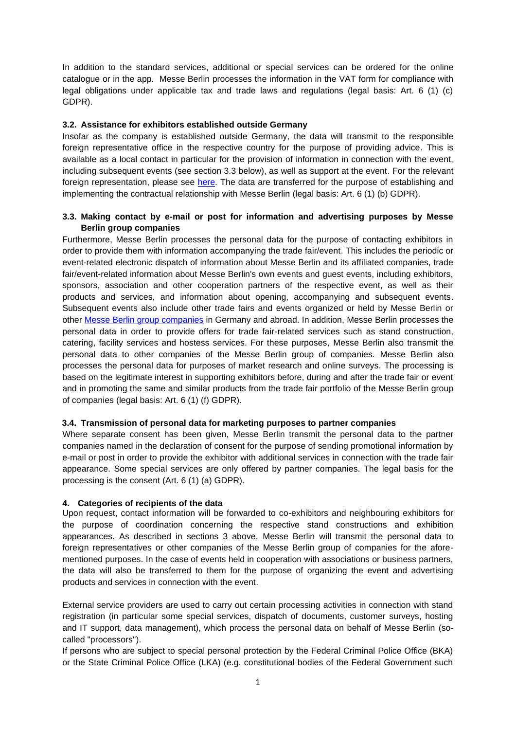In addition to the standard services, additional or special services can be ordered for the online catalogue or in the app. Messe Berlin processes the information in the VAT form for compliance with legal obligations under applicable tax and trade laws and regulations (legal basis: Art. 6 (1) (c) GDPR).

#### **3.2. Assistance for exhibitors established outside Germany**

Insofar as the company is established outside Germany, the data will transmit to the responsible foreign representative office in the respective country for the purpose of providing advice. This is available as a local contact in particular for the provision of information in connection with the event, including subsequent events (see section 3.3 below), as well as support at the event. For the relevant foreign representation, please see [here.](https://www.messe-berlin.de/en/Company/MesseBerlinWorldwide/index.jsp) The data are transferred for the purpose of establishing and implementing the contractual relationship with Messe Berlin (legal basis: Art. 6 (1) (b) GDPR).

# **3.3. Making contact by e-mail or post for information and advertising purposes by Messe Berlin group companies**

Furthermore, Messe Berlin processes the personal data for the purpose of contacting exhibitors in order to provide them with information accompanying the trade fair/event. This includes the periodic or event-related electronic dispatch of information about Messe Berlin and its affiliated companies, trade fair/event-related information about Messe Berlin's own events and guest events, including exhibitors, sponsors, association and other cooperation partners of the respective event, as well as their products and services, and information about opening, accompanying and subsequent events. Subsequent events also include other trade fairs and events organized or held by Messe Berlin or other [Messe Berlin group companies](https://www.messe-berlin.de/en/Company/MesseBerlinGmbH/SubsidiariesShareholdings/) in Germany and abroad. In addition, Messe Berlin processes the personal data in order to provide offers for trade fair-related services such as stand construction, catering, facility services and hostess services. For these purposes, Messe Berlin also transmit the personal data to other companies of the Messe Berlin group of companies. Messe Berlin also processes the personal data for purposes of market research and online surveys. The processing is based on the legitimate interest in supporting exhibitors before, during and after the trade fair or event and in promoting the same and similar products from the trade fair portfolio of the Messe Berlin group of companies (legal basis: Art. 6 (1) (f) GDPR).

# **3.4. Transmission of personal data for marketing purposes to partner companies**

Where separate consent has been given, Messe Berlin transmit the personal data to the partner companies named in the declaration of consent for the purpose of sending promotional information by e-mail or post in order to provide the exhibitor with additional services in connection with the trade fair appearance. Some special services are only offered by partner companies. The legal basis for the processing is the consent (Art. 6 (1) (a) GDPR).

# **4. Categories of recipients of the data**

Upon request, contact information will be forwarded to co-exhibitors and neighbouring exhibitors for the purpose of coordination concerning the respective stand constructions and exhibition appearances. As described in sections 3 above, Messe Berlin will transmit the personal data to foreign representatives or other companies of the Messe Berlin group of companies for the aforementioned purposes. In the case of events held in cooperation with associations or business partners, the data will also be transferred to them for the purpose of organizing the event and advertising products and services in connection with the event.

External service providers are used to carry out certain processing activities in connection with stand registration (in particular some special services, dispatch of documents, customer surveys, hosting and IT support, data management), which process the personal data on behalf of Messe Berlin (socalled "processors").

If persons who are subject to special personal protection by the Federal Criminal Police Office (BKA) or the State Criminal Police Office (LKA) (e.g. constitutional bodies of the Federal Government such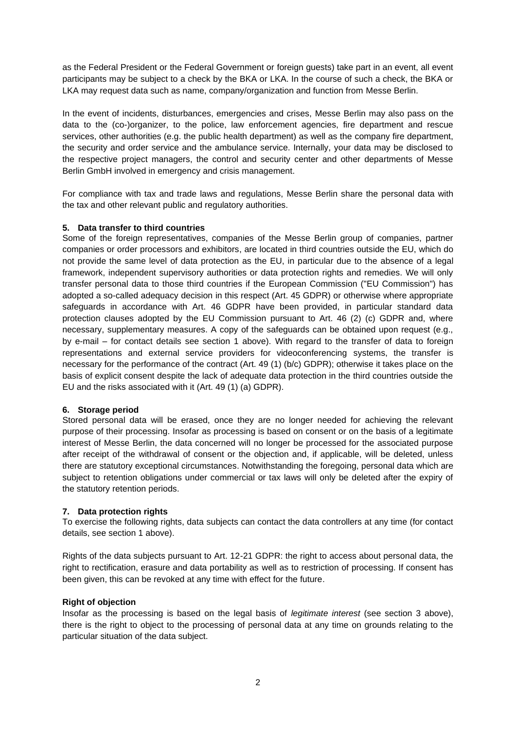as the Federal President or the Federal Government or foreign guests) take part in an event, all event participants may be subject to a check by the BKA or LKA. In the course of such a check, the BKA or LKA may request data such as name, company/organization and function from Messe Berlin.

In the event of incidents, disturbances, emergencies and crises, Messe Berlin may also pass on the data to the (co-)organizer, to the police, law enforcement agencies, fire department and rescue services, other authorities (e.g. the public health department) as well as the company fire department, the security and order service and the ambulance service. Internally, your data may be disclosed to the respective project managers, the control and security center and other departments of Messe Berlin GmbH involved in emergency and crisis management.

For compliance with tax and trade laws and regulations, Messe Berlin share the personal data with the tax and other relevant public and regulatory authorities.

#### **5. Data transfer to third countries**

Some of the foreign representatives, companies of the Messe Berlin group of companies, partner companies or order processors and exhibitors, are located in third countries outside the EU, which do not provide the same level of data protection as the EU, in particular due to the absence of a legal framework, independent supervisory authorities or data protection rights and remedies. We will only transfer personal data to those third countries if the European Commission ("EU Commission") has adopted a so-called adequacy decision in this respect (Art. 45 GDPR) or otherwise where appropriate safeguards in accordance with Art. 46 GDPR have been provided, in particular standard data protection clauses adopted by the EU Commission pursuant to Art. 46 (2) (c) GDPR and, where necessary, supplementary measures. A copy of the safeguards can be obtained upon request (e.g., by e-mail – for contact details see section 1 above). With regard to the transfer of data to foreign representations and external service providers for videoconferencing systems, the transfer is necessary for the performance of the contract (Art. 49 (1) (b/c) GDPR); otherwise it takes place on the basis of explicit consent despite the lack of adequate data protection in the third countries outside the EU and the risks associated with it (Art. 49 (1) (a) GDPR).

# **6. Storage period**

Stored personal data will be erased, once they are no longer needed for achieving the relevant purpose of their processing. Insofar as processing is based on consent or on the basis of a legitimate interest of Messe Berlin, the data concerned will no longer be processed for the associated purpose after receipt of the withdrawal of consent or the objection and, if applicable, will be deleted, unless there are statutory exceptional circumstances. Notwithstanding the foregoing, personal data which are subject to retention obligations under commercial or tax laws will only be deleted after the expiry of the statutory retention periods.

#### **7. Data protection rights**

To exercise the following rights, data subjects can contact the data controllers at any time (for contact details, see section 1 above).

Rights of the data subjects pursuant to Art. 12-21 GDPR: the right to access about personal data, the right to rectification, erasure and data portability as well as to restriction of processing. If consent has been given, this can be revoked at any time with effect for the future.

#### **Right of objection**

Insofar as the processing is based on the legal basis of *legitimate interest* (see section 3 above), there is the right to object to the processing of personal data at any time on grounds relating to the particular situation of the data subject.